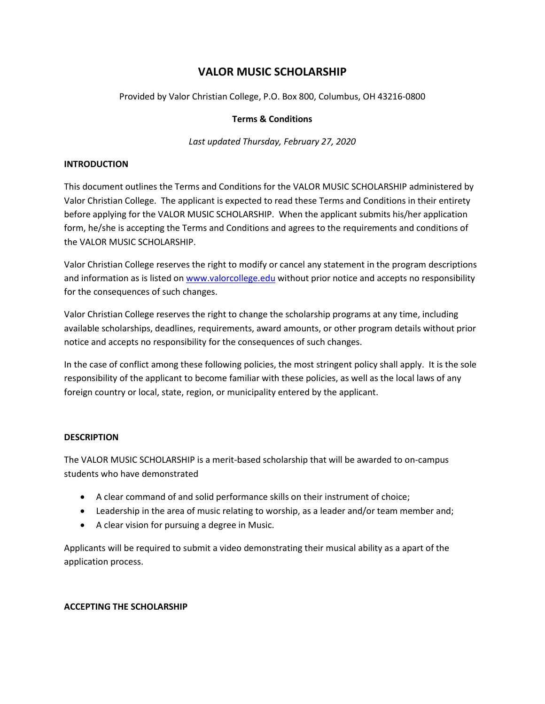# **VALOR MUSIC SCHOLARSHIP**

Provided by Valor Christian College, P.O. Box 800, Columbus, OH 43216-0800

### **Terms & Conditions**

*Last updated Thursday, February 27, 2020*

# **INTRODUCTION**

This document outlines the Terms and Conditions for the VALOR MUSIC SCHOLARSHIP administered by Valor Christian College. The applicant is expected to read these Terms and Conditions in their entirety before applying for the VALOR MUSIC SCHOLARSHIP. When the applicant submits his/her application form, he/she is accepting the Terms and Conditions and agrees to the requirements and conditions of the VALOR MUSIC SCHOLARSHIP.

Valor Christian College reserves the right to modify or cancel any statement in the program descriptions and information as is listed on [www.valorcollege.edu](http://www.valorcollege.edu/) without prior notice and accepts no responsibility for the consequences of such changes.

Valor Christian College reserves the right to change the scholarship programs at any time, including available scholarships, deadlines, requirements, award amounts, or other program details without prior notice and accepts no responsibility for the consequences of such changes.

In the case of conflict among these following policies, the most stringent policy shall apply. It is the sole responsibility of the applicant to become familiar with these policies, as well as the local laws of any foreign country or local, state, region, or municipality entered by the applicant.

#### **DESCRIPTION**

The VALOR MUSIC SCHOLARSHIP is a merit-based scholarship that will be awarded to on-campus students who have demonstrated

- A clear command of and solid performance skills on their instrument of choice;
- Leadership in the area of music relating to worship, as a leader and/or team member and;
- A clear vision for pursuing a degree in Music.

Applicants will be required to submit a video demonstrating their musical ability as a apart of the application process.

#### **ACCEPTING THE SCHOLARSHIP**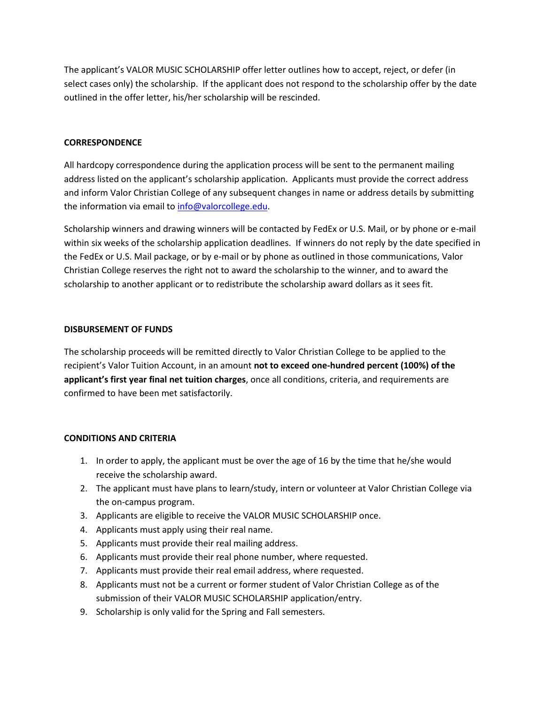The applicant's VALOR MUSIC SCHOLARSHIP offer letter outlines how to accept, reject, or defer (in select cases only) the scholarship. If the applicant does not respond to the scholarship offer by the date outlined in the offer letter, his/her scholarship will be rescinded.

### **CORRESPONDENCE**

All hardcopy correspondence during the application process will be sent to the permanent mailing address listed on the applicant's scholarship application. Applicants must provide the correct address and inform Valor Christian College of any subsequent changes in name or address details by submitting the information via email to [info@valorcollege.edu.](mailto:info@valorcollege.edu)

Scholarship winners and drawing winners will be contacted by FedEx or U.S. Mail, or by phone or e-mail within six weeks of the scholarship application deadlines. If winners do not reply by the date specified in the FedEx or U.S. Mail package, or by e-mail or by phone as outlined in those communications, Valor Christian College reserves the right not to award the scholarship to the winner, and to award the scholarship to another applicant or to redistribute the scholarship award dollars as it sees fit.

#### **DISBURSEMENT OF FUNDS**

The scholarship proceeds will be remitted directly to Valor Christian College to be applied to the recipient's Valor Tuition Account, in an amount **not to exceed one-hundred percent (100%) of the applicant's first year final net tuition charges**, once all conditions, criteria, and requirements are confirmed to have been met satisfactorily.

#### **CONDITIONS AND CRITERIA**

- 1. In order to apply, the applicant must be over the age of 16 by the time that he/she would receive the scholarship award.
- 2. The applicant must have plans to learn/study, intern or volunteer at Valor Christian College via the on-campus program.
- 3. Applicants are eligible to receive the VALOR MUSIC SCHOLARSHIP once.
- 4. Applicants must apply using their real name.
- 5. Applicants must provide their real mailing address.
- 6. Applicants must provide their real phone number, where requested.
- 7. Applicants must provide their real email address, where requested.
- 8. Applicants must not be a current or former student of Valor Christian College as of the submission of their VALOR MUSIC SCHOLARSHIP application/entry.
- 9. Scholarship is only valid for the Spring and Fall semesters.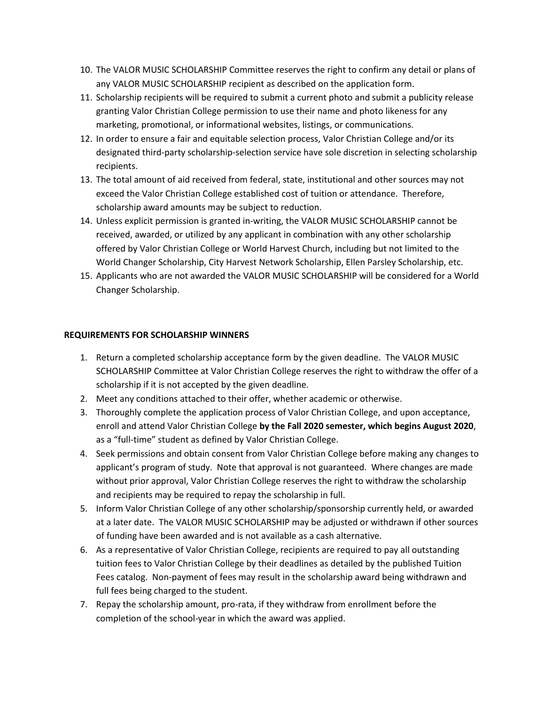- 10. The VALOR MUSIC SCHOLARSHIP Committee reserves the right to confirm any detail or plans of any VALOR MUSIC SCHOLARSHIP recipient as described on the application form.
- 11. Scholarship recipients will be required to submit a current photo and submit a publicity release granting Valor Christian College permission to use their name and photo likeness for any marketing, promotional, or informational websites, listings, or communications.
- 12. In order to ensure a fair and equitable selection process, Valor Christian College and/or its designated third-party scholarship-selection service have sole discretion in selecting scholarship recipients.
- 13. The total amount of aid received from federal, state, institutional and other sources may not exceed the Valor Christian College established cost of tuition or attendance. Therefore, scholarship award amounts may be subject to reduction.
- 14. Unless explicit permission is granted in-writing, the VALOR MUSIC SCHOLARSHIP cannot be received, awarded, or utilized by any applicant in combination with any other scholarship offered by Valor Christian College or World Harvest Church, including but not limited to the World Changer Scholarship, City Harvest Network Scholarship, Ellen Parsley Scholarship, etc.
- 15. Applicants who are not awarded the VALOR MUSIC SCHOLARSHIP will be considered for a World Changer Scholarship.

# **REQUIREMENTS FOR SCHOLARSHIP WINNERS**

- 1. Return a completed scholarship acceptance form by the given deadline. The VALOR MUSIC SCHOLARSHIP Committee at Valor Christian College reserves the right to withdraw the offer of a scholarship if it is not accepted by the given deadline.
- 2. Meet any conditions attached to their offer, whether academic or otherwise.
- 3. Thoroughly complete the application process of Valor Christian College, and upon acceptance, enroll and attend Valor Christian College **by the Fall 2020 semester, which begins August 2020**, as a "full-time" student as defined by Valor Christian College.
- 4. Seek permissions and obtain consent from Valor Christian College before making any changes to applicant's program of study. Note that approval is not guaranteed. Where changes are made without prior approval, Valor Christian College reserves the right to withdraw the scholarship and recipients may be required to repay the scholarship in full.
- 5. Inform Valor Christian College of any other scholarship/sponsorship currently held, or awarded at a later date. The VALOR MUSIC SCHOLARSHIP may be adjusted or withdrawn if other sources of funding have been awarded and is not available as a cash alternative.
- 6. As a representative of Valor Christian College, recipients are required to pay all outstanding tuition fees to Valor Christian College by their deadlines as detailed by the published Tuition Fees catalog. Non-payment of fees may result in the scholarship award being withdrawn and full fees being charged to the student.
- 7. Repay the scholarship amount, pro-rata, if they withdraw from enrollment before the completion of the school-year in which the award was applied.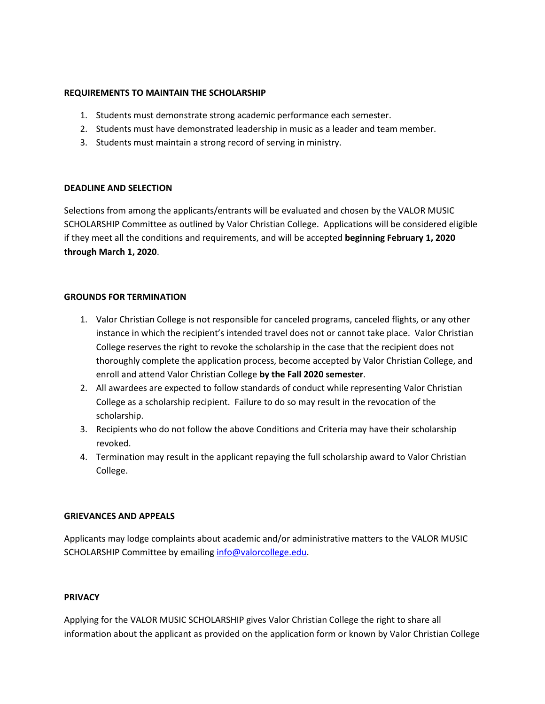#### **REQUIREMENTS TO MAINTAIN THE SCHOLARSHIP**

- 1. Students must demonstrate strong academic performance each semester.
- 2. Students must have demonstrated leadership in music as a leader and team member.
- 3. Students must maintain a strong record of serving in ministry.

#### **DEADLINE AND SELECTION**

Selections from among the applicants/entrants will be evaluated and chosen by the VALOR MUSIC SCHOLARSHIP Committee as outlined by Valor Christian College. Applications will be considered eligible if they meet all the conditions and requirements, and will be accepted **beginning February 1, 2020 through March 1, 2020**.

#### **GROUNDS FOR TERMINATION**

- 1. Valor Christian College is not responsible for canceled programs, canceled flights, or any other instance in which the recipient's intended travel does not or cannot take place. Valor Christian College reserves the right to revoke the scholarship in the case that the recipient does not thoroughly complete the application process, become accepted by Valor Christian College, and enroll and attend Valor Christian College **by the Fall 2020 semester**.
- 2. All awardees are expected to follow standards of conduct while representing Valor Christian College as a scholarship recipient. Failure to do so may result in the revocation of the scholarship.
- 3. Recipients who do not follow the above Conditions and Criteria may have their scholarship revoked.
- 4. Termination may result in the applicant repaying the full scholarship award to Valor Christian College.

#### **GRIEVANCES AND APPEALS**

Applicants may lodge complaints about academic and/or administrative matters to the VALOR MUSIC SCHOLARSHIP Committee by emailing [info@valorcollege.edu.](mailto:info@valorcollege.edu)

#### **PRIVACY**

Applying for the VALOR MUSIC SCHOLARSHIP gives Valor Christian College the right to share all information about the applicant as provided on the application form or known by Valor Christian College